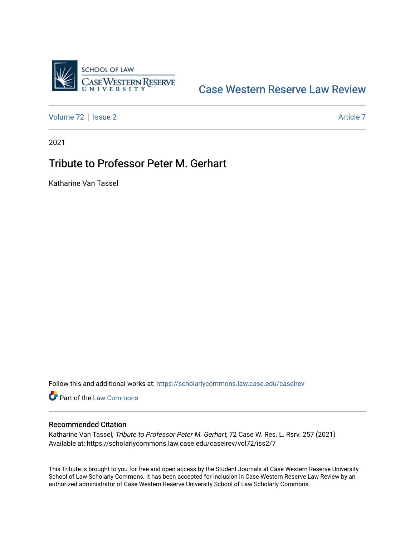

## [Case Western Reserve Law Review](https://scholarlycommons.law.case.edu/caselrev)

[Volume 72](https://scholarlycommons.law.case.edu/caselrev/vol72) | [Issue 2](https://scholarlycommons.law.case.edu/caselrev/vol72/iss2) Article 7

2021

## Tribute to Professor Peter M. Gerhart

Katharine Van Tassel

Follow this and additional works at: [https://scholarlycommons.law.case.edu/caselrev](https://scholarlycommons.law.case.edu/caselrev?utm_source=scholarlycommons.law.case.edu%2Fcaselrev%2Fvol72%2Fiss2%2F7&utm_medium=PDF&utm_campaign=PDFCoverPages)

Part of the [Law Commons](https://network.bepress.com/hgg/discipline/578?utm_source=scholarlycommons.law.case.edu%2Fcaselrev%2Fvol72%2Fiss2%2F7&utm_medium=PDF&utm_campaign=PDFCoverPages)

## Recommended Citation

Katharine Van Tassel, Tribute to Professor Peter M. Gerhart, 72 Case W. Res. L. Rsrv. 257 (2021) Available at: https://scholarlycommons.law.case.edu/caselrev/vol72/iss2/7

This Tribute is brought to you for free and open access by the Student Journals at Case Western Reserve University School of Law Scholarly Commons. It has been accepted for inclusion in Case Western Reserve Law Review by an authorized administrator of Case Western Reserve University School of Law Scholarly Commons.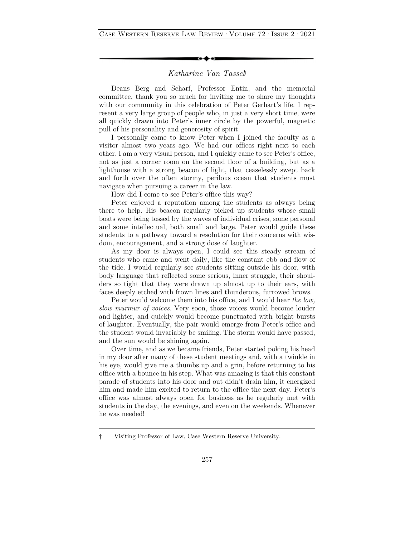## *Katharine Van Tassel*†

Deans Berg and Scharf, Professor Entin, and the memorial committee, thank you so much for inviting me to share my thoughts with our community in this celebration of Peter Gerhart's life. I represent a very large group of people who, in just a very short time, were all quickly drawn into Peter's inner circle by the powerful, magnetic pull of his personality and generosity of spirit.

I personally came to know Peter when I joined the faculty as a visitor almost two years ago. We had our offices right next to each other. I am a very visual person, and I quickly came to see Peter's office, not as just a corner room on the second floor of a building, but as a lighthouse with a strong beacon of light, that ceaselessly swept back and forth over the often stormy, perilous ocean that students must navigate when pursuing a career in the law.

How did I come to see Peter's office this way?

Peter enjoyed a reputation among the students as always being there to help. His beacon regularly picked up students whose small boats were being tossed by the waves of individual crises, some personal and some intellectual, both small and large. Peter would guide these students to a pathway toward a resolution for their concerns with wisdom, encouragement, and a strong dose of laughter.

As my door is always open, I could see this steady stream of students who came and went daily, like the constant ebb and flow of the tide. I would regularly see students sitting outside his door, with body language that reflected some serious, inner struggle, their shoulders so tight that they were drawn up almost up to their ears, with faces deeply etched with frown lines and thunderous, furrowed brows.

Peter would welcome them into his office, and I would hear *the low, slow murmur of voices*. Very soon, those voices would become louder and lighter, and quickly would become punctuated with bright bursts of laughter. Eventually, the pair would emerge from Peter's office and the student would invariably be smiling. The storm would have passed, and the sun would be shining again.

Over time, and as we became friends, Peter started poking his head in my door after many of these student meetings and, with a twinkle in his eye, would give me a thumbs up and a grin, before returning to his office with a bounce in his step. What was amazing is that this constant parade of students into his door and out didn't drain him, it energized him and made him excited to return to the office the next day. Peter's office was almost always open for business as he regularly met with students in the day, the evenings, and even on the weekends. Whenever he was needed!

<sup>†</sup> Visiting Professor of Law, Case Western Reserve University.